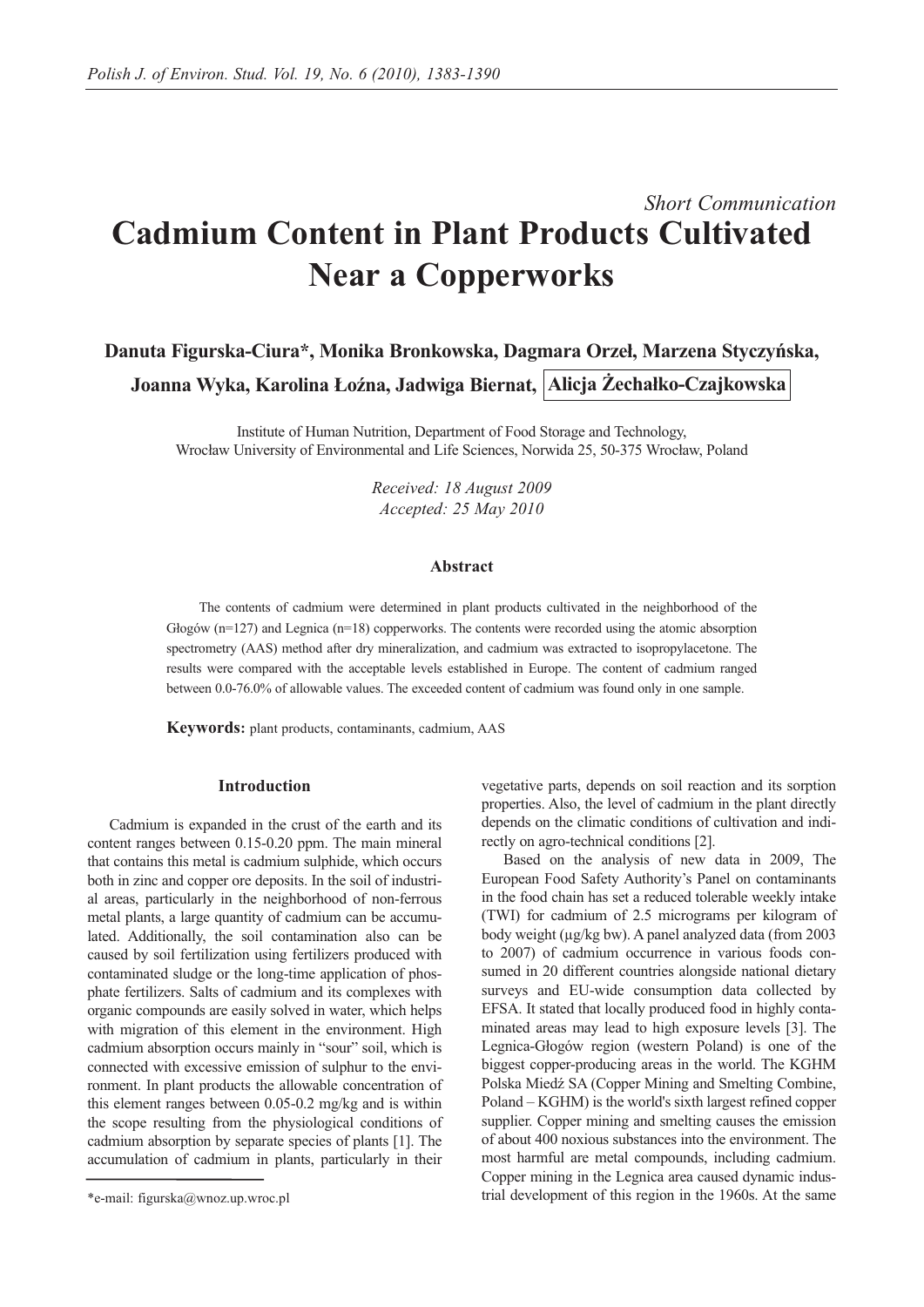# *Short Communication* **Cadmium Content in Plant Products Cultivated Near a Copperworks**

**Danuta Figurska-Ciura\*, Monika Bronkowska, Dagmara Orzeł, Marzena Styczyńska, Joanna Wyka, Karolina Łoźna, Jadwiga Biernat, Alicja Żechałko-Czajkowska**

Institute of Human Nutrition, Department of Food Storage and Technology, Wrocław University of Environmental and Life Sciences, Norwida 25, 50-375 Wrocław, Poland

> *Received: 18 August 2009 Accepted: 25 May 2010*

## **Abstract**

The contents of cadmium were determined in plant products cultivated in the neighborhood of the Głogów (n=127) and Legnica (n=18) copperworks. The contents were recorded using the atomic absorption spectrometry (AAS) method after dry mineralization, and cadmium was extracted to isopropylacetone. The results were compared with the acceptable levels established in Europe. The content of cadmium ranged between 0.0-76.0% of allowable values. The exceeded content of cadmium was found only in one sample.

**Keywords:** plant products, contaminants, cadmium, AAS

## **Introduction**

Cadmium is expanded in the crust of the earth and its content ranges between 0.15-0.20 ppm. The main mineral that contains this metal is cadmium sulphide, which occurs both in zinc and copper ore deposits. In the soil of industrial areas, particularly in the neighborhood of non-ferrous metal plants, a large quantity of cadmium can be accumulated. Additionally, the soil contamination also can be caused by soil fertilization using fertilizers produced with contaminated sludge or the long-time application of phosphate fertilizers. Salts of cadmium and its complexes with organic compounds are easily solved in water, which helps with migration of this element in the environment. High cadmium absorption occurs mainly in "sour" soil, which is connected with excessive emission of sulphur to the environment. In plant products the allowable concentration of this element ranges between 0.05-0.2 mg/kg and is within the scope resulting from the physiological conditions of cadmium absorption by separate species of plants [1]. The accumulation of cadmium in plants, particularly in their

vegetative parts, depends on soil reaction and its sorption properties. Also, the level of cadmium in the plant directly depends on the climatic conditions of cultivation and indirectly on agro-technical conditions [2].

Based on the analysis of new data in 2009, The European Food Safety Authority's Panel on contaminants in the food chain has set a reduced tolerable weekly intake (TWI) for cadmium of 2.5 micrograms per kilogram of body weight (µg/kg bw). A panel analyzed data (from 2003 to 2007) of cadmium occurrence in various foods consumed in 20 different countries alongside national dietary surveys and EU-wide consumption data collected by EFSA. It stated that locally produced food in highly contaminated areas may lead to high exposure levels [3]. The Legnica-Głogów region (western Poland) is one of the biggest copper-producing areas in the world. The KGHM Polska Miedź SA (Copper Mining and Smelting Combine, Poland – KGHM) is the world's sixth largest refined copper supplier. Copper mining and smelting causes the emission of about 400 noxious substances into the environment. The most harmful are metal compounds, including cadmium. Copper mining in the Legnica area caused dynamic industrial development of this region in the 1960s. At the same

<sup>\*</sup>e-mail: figurska@wnoz.up.wroc.pl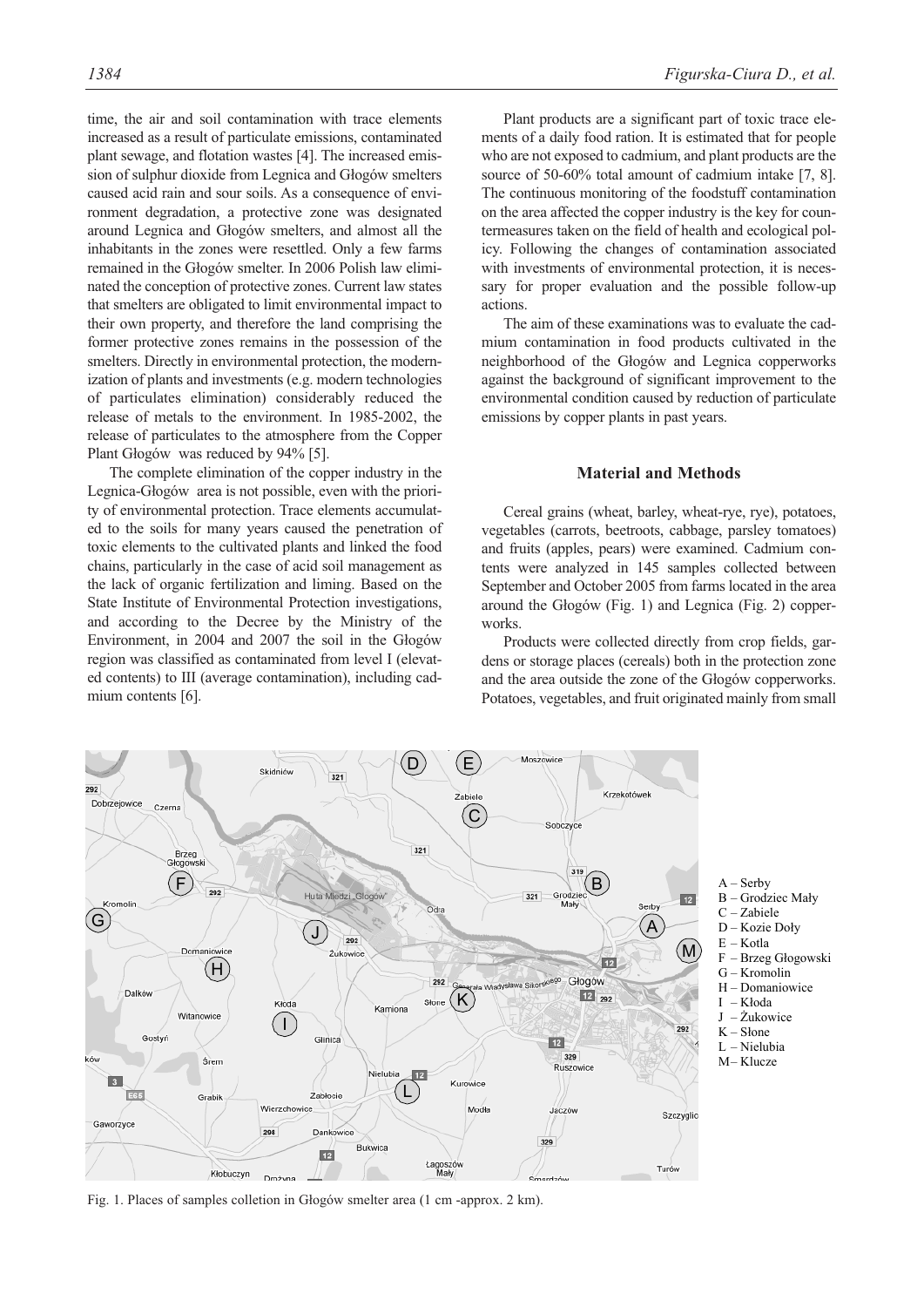time, the air and soil contamination with trace elements increased as a result of particulate emissions, contaminated plant sewage, and flotation wastes [4]. The increased emission of sulphur dioxide from Legnica and Głogów smelters caused acid rain and sour soils. As a consequence of environment degradation, a protective zone was designated around Legnica and Głogów smelters, and almost all the inhabitants in the zones were resettled. Only a few farms remained in the Głogów smelter. In 2006 Polish law eliminated the conception of protective zones. Current law states that smelters are obligated to limit environmental impact to their own property, and therefore the land comprising the former protective zones remains in the possession of the smelters. Directly in environmental protection, the modernization of plants and investments (e.g. modern technologies of particulates elimination) considerably reduced the release of metals to the environment. In 1985-2002, the release of particulates to the atmosphere from the Copper Plant Głogów was reduced by 94% [5].

The complete elimination of the copper industry in the Legnica-Głogów area is not possible, even with the priority of environmental protection. Trace elements accumulated to the soils for many years caused the penetration of toxic elements to the cultivated plants and linked the food chains, particularly in the case of acid soil management as the lack of organic fertilization and liming. Based on the State Institute of Environmental Protection investigations, and according to the Decree by the Ministry of the Environment, in 2004 and 2007 the soil in the Głogów region was classified as contaminated from level I (elevated contents) to III (average contamination), including cadmium contents [6].

Plant products are a significant part of toxic trace elements of a daily food ration. It is estimated that for people who are not exposed to cadmium, and plant products are the source of 50-60% total amount of cadmium intake [7, 8]. The continuous monitoring of the foodstuff contamination on the area affected the copper industry is the key for countermeasures taken on the field of health and ecological policy. Following the changes of contamination associated with investments of environmental protection, it is necessary for proper evaluation and the possible follow-up actions.

The aim of these examinations was to evaluate the cadmium contamination in food products cultivated in the neighborhood of the Głogów and Legnica copperworks against the background of significant improvement to the environmental condition caused by reduction of particulate emissions by copper plants in past years.

## **Material and Methods**

Cereal grains (wheat, barley, wheat-rye, rye), potatoes, vegetables (carrots, beetroots, cabbage, parsley tomatoes) and fruits (apples, pears) were examined. Cadmium contents were analyzed in 145 samples collected between September and October 2005 from farms located in the area around the Głogów (Fig. 1) and Legnica (Fig. 2) copperworks.

Products were collected directly from crop fields, gardens or storage places (cereals) both in the protection zone and the area outside the zone of the Głogów copperworks. Potatoes, vegetables, and fruit originated mainly from small



Fig. 1. Places of samples colletion in Głogów smelter area (1 cm -approx. 2 km).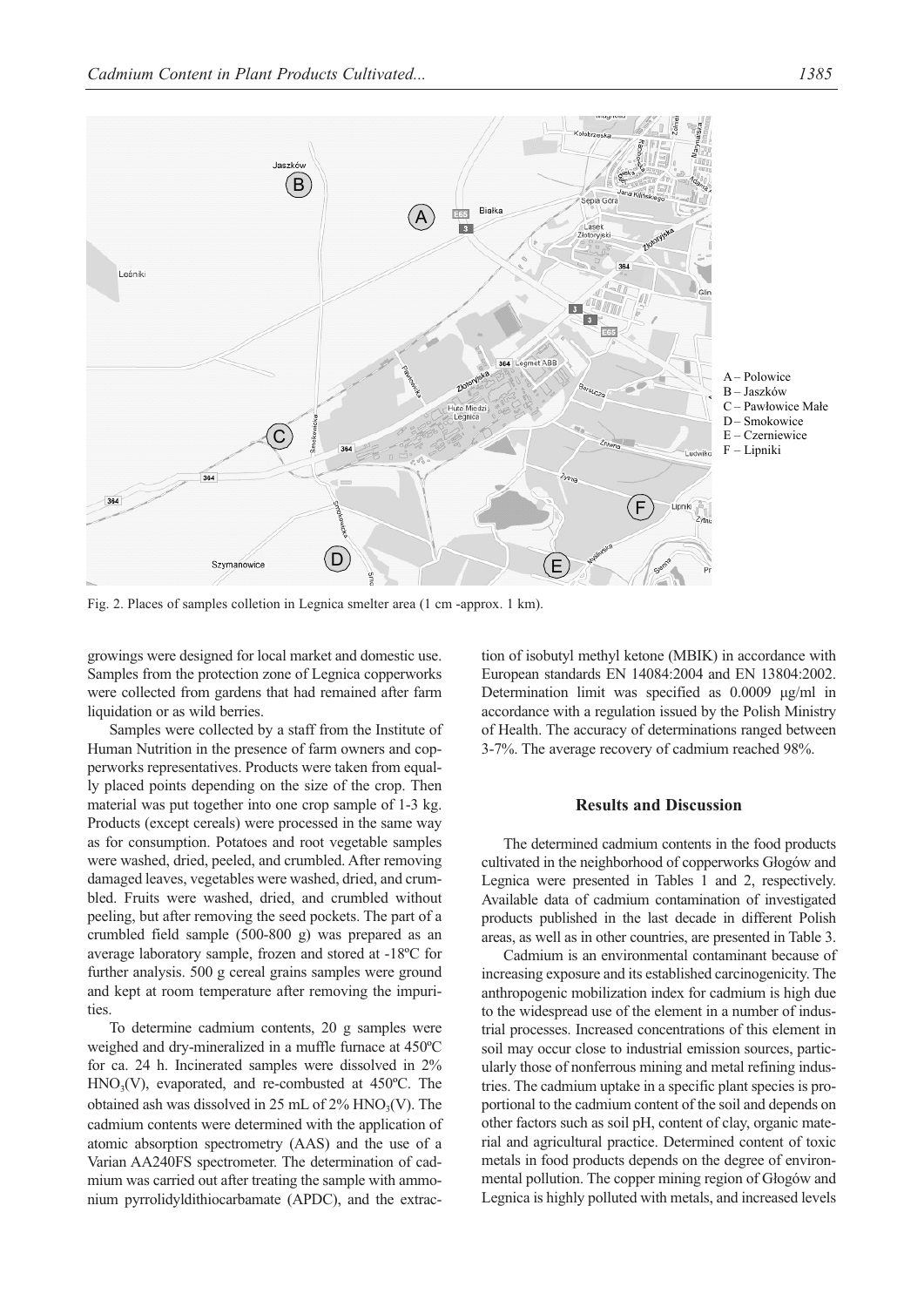

Fig. 2. Places of samples colletion in Legnica smelter area (1 cm -approx. 1 km).

growings were designed for local market and domestic use. Samples from the protection zone of Legnica copperworks were collected from gardens that had remained after farm liquidation or as wild berries.

Samples were collected by a staff from the Institute of Human Nutrition in the presence of farm owners and copperworks representatives. Products were taken from equally placed points depending on the size of the crop. Then material was put together into one crop sample of 1-3 kg. Products (except cereals) were processed in the same way as for consumption. Potatoes and root vegetable samples were washed, dried, peeled, and crumbled. After removing damaged leaves, vegetables were washed, dried, and crumbled. Fruits were washed, dried, and crumbled without peeling, but after removing the seed pockets. The part of a crumbled field sample (500-800 g) was prepared as an average laboratory sample, frozen and stored at -18ºC for further analysis. 500 g cereal grains samples were ground and kept at room temperature after removing the impurities.

To determine cadmium contents, 20 g samples were weighed and dry-mineralized in a muffle furnace at 450ºC for ca. 24 h. Incinerated samples were dissolved in 2%  $HNO<sub>3</sub>(V)$ , evaporated, and re-combusted at 450 $^{\circ}$ C. The obtained ash was dissolved in 25 mL of  $2\%$  HNO<sub>3</sub>(V). The cadmium contents were determined with the application of atomic absorption spectrometry (AAS) and the use of a Varian AA240FS spectrometer. The determination of cadmium was carried out after treating the sample with ammonium pyrrolidyldithiocarbamate (APDC), and the extraction of isobutyl methyl ketone (MBIK) in accordance with European standards EN 14084:2004 and EN 13804:2002. Determination limit was specified as 0.0009 μg/ml in accordance with a regulation issued by the Polish Ministry of Health. The accuracy of determinations ranged between 3-7%. The average recovery of cadmium reached 98%.

# **Results and Discussion**

The determined cadmium contents in the food products cultivated in the neighborhood of copperworks Głogów and Legnica were presented in Tables 1 and 2, respectively. Available data of cadmium contamination of investigated products published in the last decade in different Polish areas, as well as in other countries, are presented in Table 3.

Cadmium is an environmental contaminant because of increasing exposure and its established carcinogenicity. The anthropogenic mobilization index for cadmium is high due to the widespread use of the element in a number of industrial processes. Increased concentrations of this element in soil may occur close to industrial emission sources, particularly those of nonferrous mining and metal refining industries. The cadmium uptake in a specific plant species is proportional to the cadmium content of the soil and depends on other factors such as soil pH, content of clay, organic material and agricultural practice. Determined content of toxic metals in food products depends on the degree of environmental pollution. The copper mining region of Głogów and Legnica is highly polluted with metals, and increased levels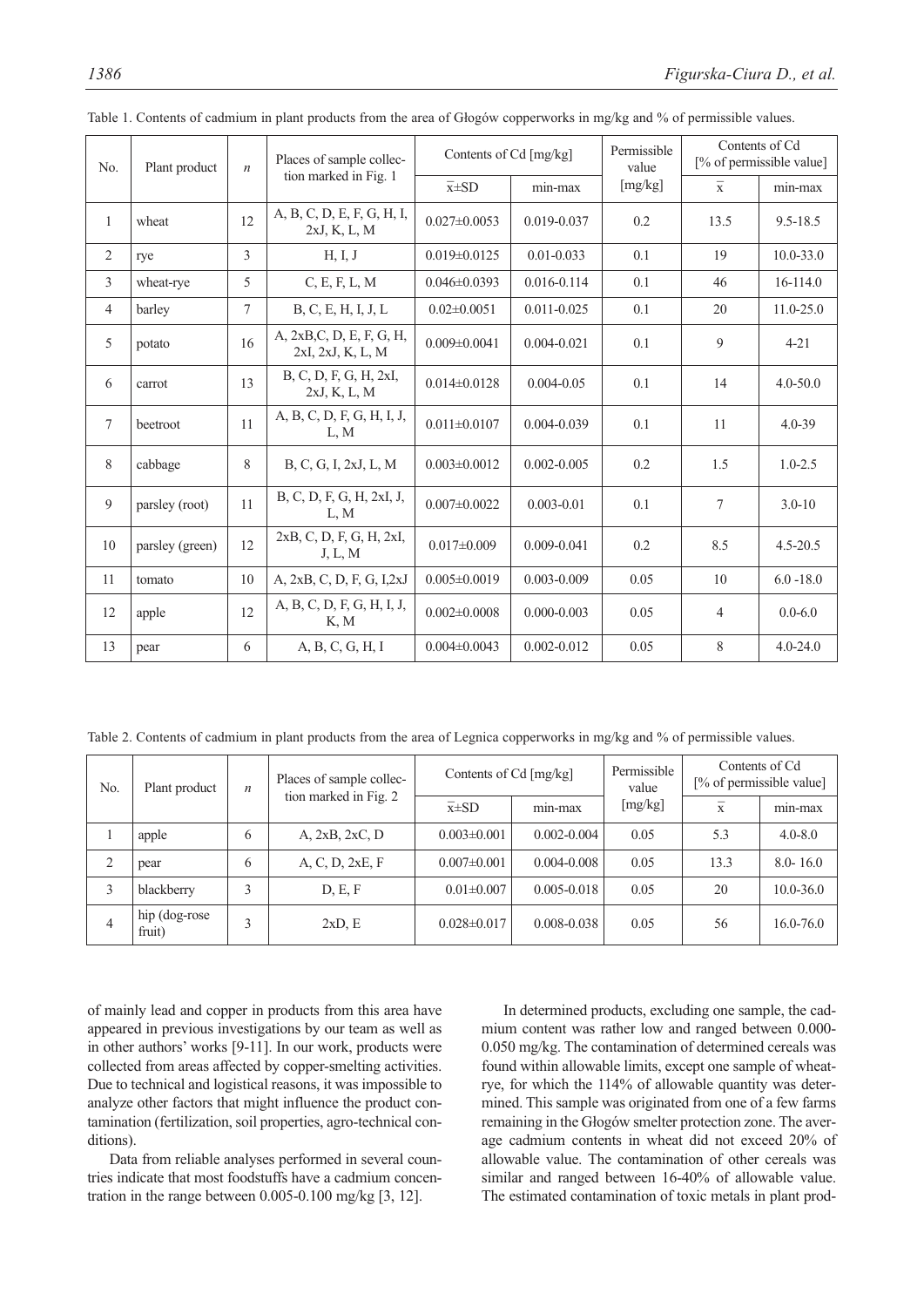| No.            | Plant product   | $\boldsymbol{n}$ | Places of sample collec-                       | Contents of Cd [mg/kg] |                 | Permissible<br>value | Contents of Cd<br>[% of permissible value] |               |
|----------------|-----------------|------------------|------------------------------------------------|------------------------|-----------------|----------------------|--------------------------------------------|---------------|
|                |                 |                  | tion marked in Fig. 1                          | $\overline{x} \pm SD$  | min-max         | [mg/kg]              | $\overline{\mathbf{x}}$                    | min-max       |
| $\mathbf{1}$   | wheat           | 12               | A, B, C, D, E, F, G, H, I,<br>2xJ, K, L, M     | $0.027 \pm 0.0053$     | 0.019-0.037     | 0.2                  | 13.5                                       | $9.5 - 18.5$  |
| 2              | rye             | 3                | H, I, J                                        | $0.019 \pm 0.0125$     | $0.01 - 0.033$  | 0.1                  | 19                                         | $10.0 - 33.0$ |
| 3              | wheat-rye       | 5                | C, E, F, L, M                                  | $0.046 \pm 0.0393$     | $0.016 - 0.114$ | 0.1                  | 46                                         | 16-114.0      |
| $\overline{4}$ | barley          | $\overline{7}$   | B, C, E, H, I, J, L                            | $0.02 \pm 0.0051$      | $0.011 - 0.025$ | 0.1                  | 20                                         | $11.0 - 25.0$ |
| 5              | potato          | 16               | A, 2xB, C, D, E, F, G, H,<br>2xI, 2xJ, K, L, M | $0.009 \pm 0.0041$     | $0.004 - 0.021$ | 0.1                  | $\mathbf{Q}$                               | $4 - 21$      |
| 6              | carrot          | 13               | B, C, D, F, G, H, 2xI,<br>2xJ, K, L, M         | $0.014 \pm 0.0128$     | $0.004 - 0.05$  | 0.1                  | 14                                         | $4.0 - 50.0$  |
| $\tau$         | beetroot        | 11               | A, B, C, D, F, G, H, I, J,<br>L, M             | $0.011 \pm 0.0107$     | 0.004-0.039     | 0.1                  | 11                                         | $4.0 - 39$    |
| 8              | cabbage         | 8                | B, C, G, I, 2xJ, L, M                          | $0.003 \pm 0.0012$     | $0.002 - 0.005$ | 0.2                  | 1.5                                        | $1.0 - 2.5$   |
| 9              | parsley (root)  | 11               | B, C, D, F, G, H, 2xI, J,<br>L, M              | $0.007 \pm 0.0022$     | $0.003 - 0.01$  | 0.1                  | $\overline{7}$                             | $3.0 - 10$    |
| 10             | parsley (green) | 12               | 2xB, C, D, F, G, H, 2xI,<br>J, L, M            | $0.017 \pm 0.009$      | $0.009 - 0.041$ | 0.2                  | 8.5                                        | $4.5 - 20.5$  |
| 11             | tomato          | 10               | A, 2xB, C, D, F, G, I,2xJ                      | $0.005 \pm 0.0019$     | $0.003 - 0.009$ | 0.05                 | 10                                         | $6.0 - 18.0$  |
| 12             | apple           | 12               | A, B, C, D, F, G, H, I, J,<br>K, M             | $0.002 \pm 0.0008$     | $0.000 - 0.003$ | 0.05                 | $\overline{4}$                             | $0.0 - 6.0$   |
| 13             | pear            | 6                | A, B, C, G, H, I                               | $0.004 \pm 0.0043$     | $0.002 - 0.012$ | 0.05                 | 8                                          | $4.0 - 24.0$  |

Table 1. Contents of cadmium in plant products from the area of Głogów copperworks in mg/kg and % of permissible values.

Table 2. Contents of cadmium in plant products from the area of Legnica copperworks in mg/kg and % of permissible values.

| No.            | Plant product            | n | Places of sample collec-<br>tion marked in Fig. 2 | Contents of Cd [mg/kg] |                 | Permissible<br>value | Contents of Cd<br>[% of permissible value] |               |
|----------------|--------------------------|---|---------------------------------------------------|------------------------|-----------------|----------------------|--------------------------------------------|---------------|
|                |                          |   |                                                   | $\overline{x} \pm SD$  | min-max         | [mg/kg]              | $\mathbf{x}$                               | min-max       |
|                | apple                    | 6 | A, 2xB, 2xC, D                                    | $0.003 \pm 0.001$      | $0.002 - 0.004$ | 0.05                 | 5.3                                        | $4.0 - 8.0$   |
| ◠<br>∠         | pear                     | 6 | A, C, D, 2xE, F                                   | $0.007 \pm 0.001$      | $0.004 - 0.008$ | 0.05                 | 13.3                                       | $8.0 - 16.0$  |
| 3              | blackberry               | 3 | D, E, F                                           | $0.01 \pm 0.007$       | $0.005 - 0.018$ | 0.05                 | 20                                         | $10.0 - 36.0$ |
| $\overline{4}$ | hip (dog-rose)<br>fruit) | 3 | $2xD$ , E                                         | $0.028 \pm 0.017$      | 0.008-0.038     | 0.05                 | 56                                         | $16.0 - 76.0$ |

of mainly lead and copper in products from this area have appeared in previous investigations by our team as well as in other authors' works [9-11]. In our work, products were collected from areas affected by copper-smelting activities. Due to technical and logistical reasons, it was impossible to analyze other factors that might influence the product contamination (fertilization, soil properties, agro-technical conditions).

Data from reliable analyses performed in several countries indicate that most foodstuffs have a cadmium concentration in the range between 0.005-0.100 mg/kg [3, 12].

In determined products, excluding one sample, the cadmium content was rather low and ranged between 0.000- 0.050 mg/kg. The contamination of determined cereals was found within allowable limits, except one sample of wheatrye, for which the 114% of allowable quantity was determined. This sample was originated from one of a few farms remaining in the Głogów smelter protection zone. The average cadmium contents in wheat did not exceed 20% of allowable value. The contamination of other cereals was similar and ranged between 16-40% of allowable value. The estimated contamination of toxic metals in plant prod-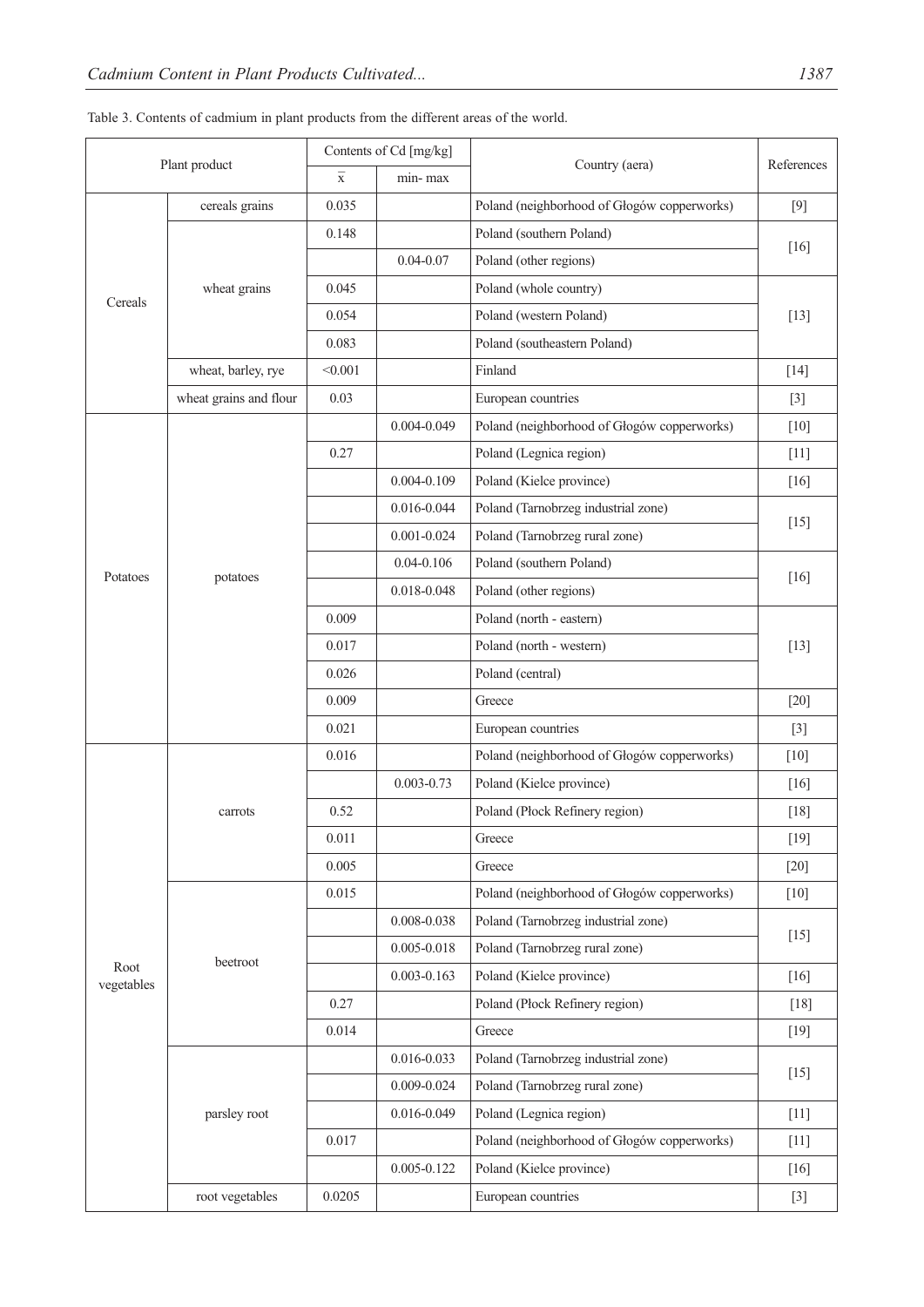| Plant product      |                        | Contents of Cd [mg/kg]  |                        | Country (aera)                              | References |  |
|--------------------|------------------------|-------------------------|------------------------|---------------------------------------------|------------|--|
|                    |                        | $\overline{\mathbf{x}}$ | min-max                |                                             |            |  |
|                    | cereals grains         | 0.035                   |                        | Poland (neighborhood of Głogów copperworks) | $[9]$      |  |
|                    |                        | 0.148                   |                        | Poland (southern Poland)                    |            |  |
| Cereals            |                        |                         | $0.04 - 0.07$          | Poland (other regions)                      | $[16]$     |  |
|                    | wheat grains           | 0.045                   | Poland (whole country) |                                             |            |  |
|                    |                        | 0.054                   |                        | Poland (western Poland)                     | $[13]$     |  |
|                    |                        | 0.083                   |                        | Poland (southeastern Poland)                |            |  |
|                    | wheat, barley, rye     | < 0.001                 |                        | Finland                                     | $[14]$     |  |
|                    | wheat grains and flour | 0.03                    |                        | European countries                          | $[3]$      |  |
|                    |                        |                         | 0.004-0.049            | Poland (neighborhood of Głogów copperworks) | $[10]$     |  |
|                    |                        | 0.27                    |                        | Poland (Legnica region)                     | $[11]$     |  |
|                    |                        |                         | $0.004 - 0.109$        | Poland (Kielce province)                    | $[16]$     |  |
|                    |                        |                         | 0.016-0.044            | Poland (Tarnobrzeg industrial zone)         | $[15]$     |  |
|                    |                        |                         | $0.001 - 0.024$        | Poland (Tarnobrzeg rural zone)              |            |  |
|                    |                        |                         | $0.04 - 0.106$         | Poland (southern Poland)                    |            |  |
| Potatoes           | potatoes               |                         | 0.018-0.048            | Poland (other regions)                      | $[16]$     |  |
|                    |                        | 0.009                   |                        | Poland (north - eastern)                    | $[13]$     |  |
|                    |                        | 0.017                   |                        | Poland (north - western)                    |            |  |
|                    |                        | 0.026                   |                        | Poland (central)                            |            |  |
|                    |                        | 0.009                   |                        | Greece                                      | $[20]$     |  |
|                    |                        | 0.021                   |                        | European countries                          | $[3]$      |  |
|                    |                        | 0.016                   |                        | Poland (neighborhood of Głogów copperworks) | $[10]$     |  |
|                    |                        |                         | $0.003 - 0.73$         | Poland (Kielce province)                    | $[16]$     |  |
|                    | carrots                | 0.52                    |                        | Poland (Płock Refinery region)              | $[18]$     |  |
|                    |                        | 0.011                   |                        | Greece                                      | $[19]$     |  |
|                    |                        | 0.005                   |                        | Greece                                      | $[20]$     |  |
|                    |                        | 0.015                   |                        | Poland (neighborhood of Głogów copperworks) | $[10]$     |  |
|                    |                        |                         | $0.008 - 0.038$        | Poland (Tarnobrzeg industrial zone)         |            |  |
|                    |                        |                         | $0.005 - 0.018$        | Poland (Tarnobrzeg rural zone)              | $[15]$     |  |
| Root<br>vegetables | beetroot               |                         | $0.003 - 0.163$        | Poland (Kielce province)                    | $[16]$     |  |
|                    |                        | 0.27                    |                        | Poland (Płock Refinery region)              | $[18]$     |  |
|                    |                        | 0.014                   |                        | Greece                                      | $[19]$     |  |
|                    |                        |                         | 0.016-0.033            | Poland (Tarnobrzeg industrial zone)         | $[15]$     |  |
|                    |                        |                         | $0.009 - 0.024$        | Poland (Tarnobrzeg rural zone)              |            |  |
|                    | parsley root           |                         | 0.016-0.049            | Poland (Legnica region)                     | $[11]$     |  |
|                    |                        | 0.017                   |                        | Poland (neighborhood of Głogów copperworks) | $[11]$     |  |
|                    |                        |                         | $0.005 - 0.122$        | Poland (Kielce province)                    | $[16]$     |  |
|                    | root vegetables        | 0.0205                  |                        | European countries                          | $[3]$      |  |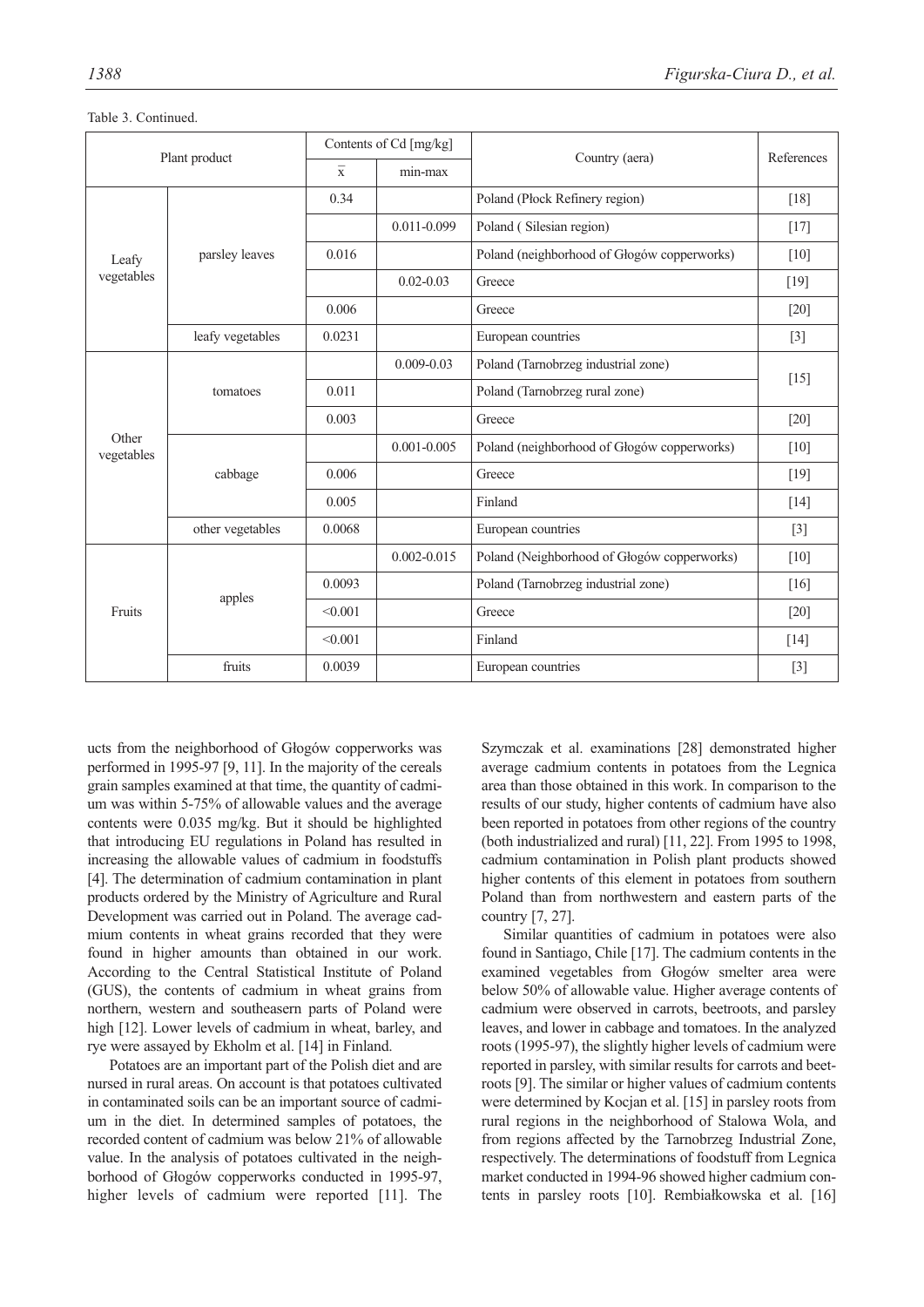| Plant product       |                  | Contents of Cd [mg/kg]  |                 |                                             |                    |  |
|---------------------|------------------|-------------------------|-----------------|---------------------------------------------|--------------------|--|
|                     |                  | $\overline{\mathrm{x}}$ | min-max         | Country (aera)                              | References         |  |
|                     |                  | 0.34                    |                 | Poland (Płock Refinery region)              | $[18]$             |  |
|                     |                  |                         | 0.011-0.099     | Poland (Silesian region)                    | $[17]$             |  |
| Leafy               | parsley leaves   | 0.016                   |                 | Poland (neighborhood of Głogów copperworks) | $[10]$             |  |
| vegetables          |                  |                         | $0.02 - 0.03$   | Greece                                      | $[19]$             |  |
|                     |                  | 0.006                   |                 | Greece                                      | $[20]$             |  |
|                     | leafy vegetables | 0.0231                  |                 | European countries                          | $[3]$              |  |
|                     |                  |                         | $0.009 - 0.03$  | Poland (Tarnobrzeg industrial zone)         | $[15]$             |  |
|                     | tomatoes         | 0.011                   |                 | Poland (Tarnobrzeg rural zone)              |                    |  |
|                     |                  | 0.003                   |                 | Greece                                      | $[20]$             |  |
| Other<br>vegetables |                  |                         | $0.001 - 0.005$ | Poland (neighborhood of Głogów copperworks) | $[10]$             |  |
|                     | cabbage          | 0.006                   |                 | Greece                                      | $[19]$             |  |
|                     |                  | 0.005                   |                 | Finland                                     | $[14]$             |  |
|                     | other vegetables | 0.0068                  |                 | European countries                          | $[3]$              |  |
|                     |                  |                         | $0.002 - 0.015$ | Poland (Neighborhood of Głogów copperworks) | $\lceil 10 \rceil$ |  |
|                     | apples           | 0.0093                  |                 | Poland (Tarnobrzeg industrial zone)         | $[16]$             |  |
| Fruits              |                  | < 0.001                 |                 | Greece                                      | $[20]$             |  |
|                     |                  | < 0.001                 |                 | Finland                                     | $[14]$             |  |
|                     | fruits           | 0.0039                  |                 | European countries                          | $[3]$              |  |

Table 3. Continued.

ucts from the neighborhood of Głogów copperworks was performed in 1995-97 [9, 11]. In the majority of the cereals grain samples examined at that time, the quantity of cadmium was within 5-75% of allowable values and the average contents were 0.035 mg/kg. But it should be highlighted that introducing EU regulations in Poland has resulted in increasing the allowable values of cadmium in foodstuffs [4]. The determination of cadmium contamination in plant products ordered by the Ministry of Agriculture and Rural Development was carried out in Poland. The average cadmium contents in wheat grains recorded that they were found in higher amounts than obtained in our work. According to the Central Statistical Institute of Poland (GUS), the contents of cadmium in wheat grains from northern, western and southeasern parts of Poland were high [12]. Lower levels of cadmium in wheat, barley, and rye were assayed by Ekholm et al. [14] in Finland.

Potatoes are an important part of the Polish diet and are nursed in rural areas. On account is that potatoes cultivated in contaminated soils can be an important source of cadmium in the diet. In determined samples of potatoes, the recorded content of cadmium was below 21% of allowable value. In the analysis of potatoes cultivated in the neighborhood of Głogów copperworks conducted in 1995-97, higher levels of cadmium were reported [11]. The Szymczak et al. examinations [28] demonstrated higher average cadmium contents in potatoes from the Legnica area than those obtained in this work. In comparison to the results of our study, higher contents of cadmium have also been reported in potatoes from other regions of the country (both industrialized and rural) [11, 22]. From 1995 to 1998, cadmium contamination in Polish plant products showed higher contents of this element in potatoes from southern Poland than from northwestern and eastern parts of the country [7, 27].

Similar quantities of cadmium in potatoes were also found in Santiago, Chile [17]. The cadmium contents in the examined vegetables from Głogów smelter area were below 50% of allowable value. Higher average contents of cadmium were observed in carrots, beetroots, and parsley leaves, and lower in cabbage and tomatoes. In the analyzed roots (1995-97), the slightly higher levels of cadmium were reported in parsley, with similar results for carrots and beetroots [9]. The similar or higher values of cadmium contents were determined by Kocjan et al. [15] in parsley roots from rural regions in the neighborhood of Stalowa Wola, and from regions affected by the Tarnobrzeg Industrial Zone, respectively. The determinations of foodstuff from Legnica market conducted in 1994-96 showed higher cadmium contents in parsley roots [10]. Rembiałkowska et al. [16]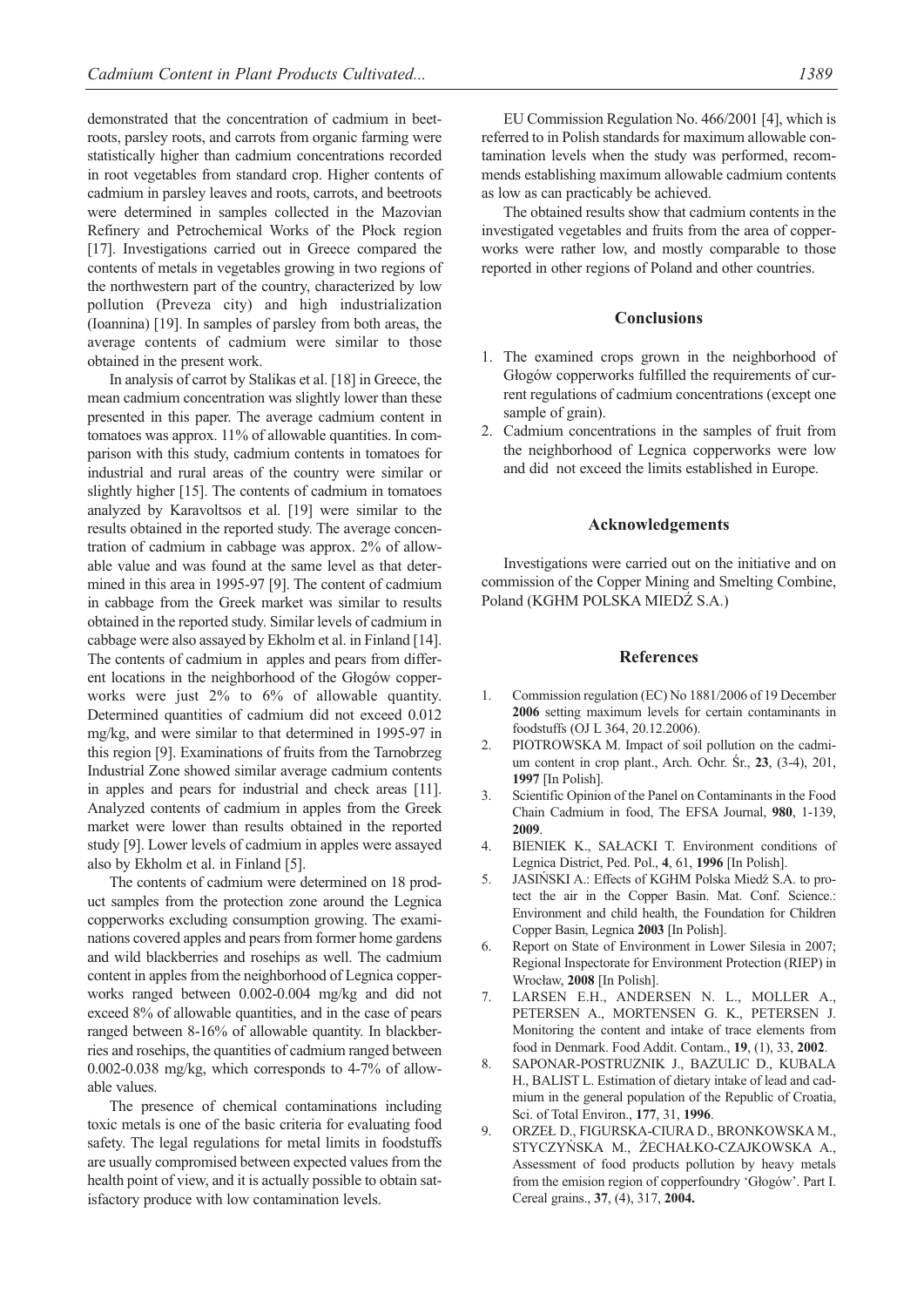demonstrated that the concentration of cadmium in beetroots, parsley roots, and carrots from organic farming were statistically higher than cadmium concentrations recorded in root vegetables from standard crop. Higher contents of cadmium in parsley leaves and roots, carrots, and beetroots were determined in samples collected in the Mazovian Refinery and Petrochemical Works of the Płock region [17]. Investigations carried out in Greece compared the contents of metals in vegetables growing in two regions of the northwestern part of the country, characterized by low pollution (Preveza city) and high industrialization (Ioannina) [19]. In samples of parsley from both areas, the average contents of cadmium were similar to those obtained in the present work.

In analysis of carrot by Stalikas et al. [18] in Greece, the mean cadmium concentration was slightly lower than these presented in this paper. The average cadmium content in tomatoes was approx. 11% of allowable quantities. In comparison with this study, cadmium contents in tomatoes for industrial and rural areas of the country were similar or slightly higher [15]. The contents of cadmium in tomatoes analyzed by Karavoltsos et al. [19] were similar to the results obtained in the reported study. The average concentration of cadmium in cabbage was approx. 2% of allowable value and was found at the same level as that determined in this area in 1995-97 [9]. The content of cadmium in cabbage from the Greek market was similar to results obtained in the reported study. Similar levels of cadmium in cabbage were also assayed by Ekholm et al. in Finland [14]. The contents of cadmium in apples and pears from different locations in the neighborhood of the Głogów copperworks were just 2% to 6% of allowable quantity. Determined quantities of cadmium did not exceed 0.012 mg/kg, and were similar to that determined in 1995-97 in this region [9]. Examinations of fruits from the Tarnobrzeg Industrial Zone showed similar average cadmium contents in apples and pears for industrial and check areas [11]. Analyzed contents of cadmium in apples from the Greek market were lower than results obtained in the reported study [9]. Lower levels of cadmium in apples were assayed also by Ekholm et al. in Finland [5].

The contents of cadmium were determined on 18 product samples from the protection zone around the Legnica copperworks excluding consumption growing. The examinations covered apples and pears from former home gardens and wild blackberries and rosehips as well. The cadmium content in apples from the neighborhood of Legnica copperworks ranged between 0.002-0.004 mg/kg and did not exceed 8% of allowable quantities, and in the case of pears ranged between 8-16% of allowable quantity. In blackberries and rosehips, the quantities of cadmium ranged between 0.002-0.038 mg/kg, which corresponds to 4-7% of allowable values.

The presence of chemical contaminations including toxic metals is one of the basic criteria for evaluating food safety. The legal regulations for metal limits in foodstuffs are usually compromised between expected values from the health point of view, and it is actually possible to obtain satisfactory produce with low contamination levels.

EU Commission Regulation No. 466/2001 [4], which is referred to in Polish standards for maximum allowable contamination levels when the study was performed, recommends establishing maximum allowable cadmium contents as low as can practicably be achieved.

The obtained results show that cadmium contents in the investigated vegetables and fruits from the area of copperworks were rather low, and mostly comparable to those reported in other regions of Poland and other countries.

## **Conclusions**

- 1. The examined crops grown in the neighborhood of Głogów copperworks fulfilled the requirements of current regulations of cadmium concentrations (except one sample of grain).
- 2. Cadmium concentrations in the samples of fruit from the neighborhood of Legnica copperworks were low and did not exceed the limits established in Europe.

## **Acknowledgements**

Investigations were carried out on the initiative and on commission of the Copper Mining and Smelting Combine, Poland (KGHM POLSKA MIEDŹ S.A.)

### **References**

- 1. Commission regulation (EC) No 1881/2006 of 19 December **2006** setting maximum levels for certain contaminants in foodstuffs (OJ L 364, 20.12.2006).
- 2. PIOTROWSKA M. Impact of soil pollution on the cadmium content in crop plant., Arch. Ochr. Śr., **23**, (3-4), 201, **1997** [In Polish].
- 3. Scientific Opinion of the Panel on Contaminants in the Food Chain Cadmium in food, The EFSA Journal, **980**, 1-139, **2009**.
- 4. BIENIEK K., SAŁACKI T. Environment conditions of Legnica District, Ped. Pol., **4**, 61, **1996** [In Polish].
- 5. JASIŃSKI A.: Effects of KGHM Polska Miedź S.A. to protect the air in the Copper Basin. Mat. Conf. Science.: Environment and child health, the Foundation for Children Copper Basin, Legnica **2003** [In Polish].
- 6. Report on State of Environment in Lower Silesia in 2007; Regional Inspectorate for Environment Protection (RIEP) in Wrocław, **2008** [In Polish].
- 7. LARSEN E.H., ANDERSEN N. L., MOLLER A., PETERSEN A., MORTENSEN G. K., PETERSEN J. Monitoring the content and intake of trace elements from food in Denmark. Food Addit. Contam., **19**, (1), 33, **2002**.
- 8. SAPONAR-POSTRUZNIK J., BAZULIC D., KUBALA H., BALIST L. Estimation of dietary intake of lead and cadmium in the general population of the Republic of Croatia, Sci. of Total Environ., **177**, 31, **1996**.
- 9. ORZEŁ D., FIGURSKA-CIURA D., BRONKOWSKA M., STYCZYŃSKA M., ŻECHAŁKO-CZAJKOWSKA A., Assessment of food products pollution by heavy metals from the emision region of copperfoundry 'Głogów'. Part I. Cereal grains., **37**, (4), 317, **2004.**